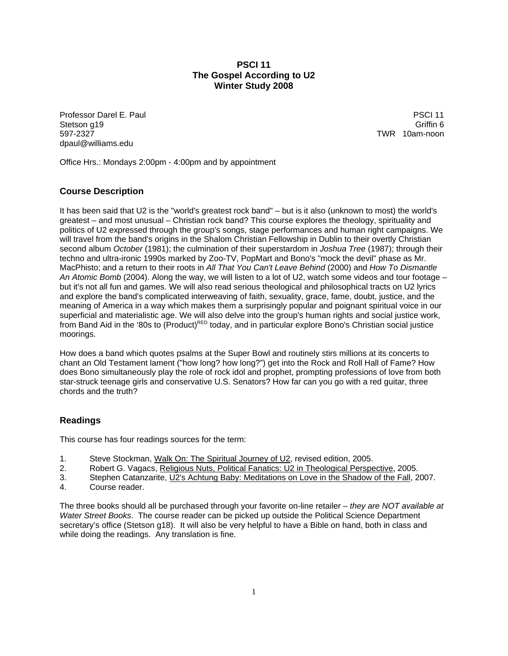# **PSCI 11 The Gospel According to U2 Winter Study 2008**

Professor Darel E. Paul PSCI 11 Stetson g19 Griffin 6 597-2327 TWR 10am-noon dpaul@williams.edu

Office Hrs.: Mondays 2:00pm - 4:00pm and by appointment

# **Course Description**

It has been said that U2 is the "world's greatest rock band" – but is it also (unknown to most) the world's greatest – and most unusual – Christian rock band? This course explores the theology, spirituality and politics of U2 expressed through the group's songs, stage performances and human right campaigns. We will travel from the band's origins in the Shalom Christian Fellowship in Dublin to their overtly Christian second album *October* (1981); the culmination of their superstardom in *Joshua Tree* (1987); through their techno and ultra-ironic 1990s marked by Zoo-TV, PopMart and Bono's "mock the devil" phase as Mr. MacPhisto; and a return to their roots in *All That You Can't Leave Behind* (2000) and *How To Dismantle An Atomic Bomb* (2004). Along the way, we will listen to a lot of U2, watch some videos and tour footage – but it's not all fun and games. We will also read serious theological and philosophical tracts on U2 lyrics and explore the band's complicated interweaving of faith, sexuality, grace, fame, doubt, justice, and the meaning of America in a way which makes them a surprisingly popular and poignant spiritual voice in our superficial and materialistic age. We will also delve into the group's human rights and social justice work, from Band Aid in the '80s to (Product)<sup>RED</sup> today, and in particular explore Bono's Christian social justice moorings.

How does a band which quotes psalms at the Super Bowl and routinely stirs millions at its concerts to chant an Old Testament lament ("how long? how long?") get into the Rock and Roll Hall of Fame? How does Bono simultaneously play the role of rock idol and prophet, prompting professions of love from both star-struck teenage girls and conservative U.S. Senators? How far can you go with a red guitar, three chords and the truth?

# **Readings**

This course has four readings sources for the term:

- 1. Steve Stockman, Walk On: The Spiritual Journey of U2, revised edition, 2005.
- 2. Robert G. Vagacs, Religious Nuts, Political Fanatics: U2 in Theological Perspective, 2005.
- 3. Stephen Catanzarite, U2's Achtung Baby: Meditations on Love in the Shadow of the Fall, 2007.
- 4. Course reader.

The three books should all be purchased through your favorite on-line retailer – *they are NOT available at Water Street Books*. The course reader can be picked up outside the Political Science Department secretary's office (Stetson g18). It will also be very helpful to have a Bible on hand, both in class and while doing the readings. Any translation is fine.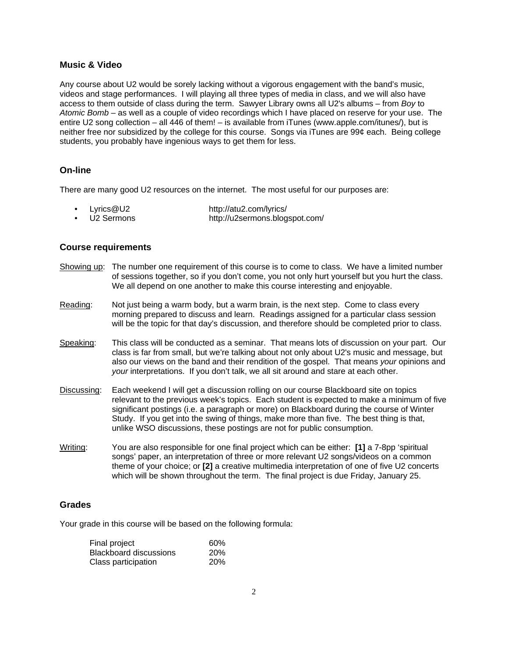# **Music & Video**

Any course about U2 would be sorely lacking without a vigorous engagement with the band's music, videos and stage performances. I will playing all three types of media in class, and we will also have access to them outside of class during the term. Sawyer Library owns all U2's albums – from *Boy* to *Atomic Bomb* – as well as a couple of video recordings which I have placed on reserve for your use. The entire U2 song collection – all 446 of them! – is available from iTunes (www.apple.com/itunes/), but is neither free nor subsidized by the college for this course. Songs via iTunes are 99¢ each. Being college students, you probably have ingenious ways to get them for less.

# **On-line**

There are many good U2 resources on the internet. The most useful for our purposes are:

- Lyrics@U2 http://atu2.com/lyrics/
- U2 Sermons http://u2sermons.blogspot.com/

#### **Course requirements**

- Showing up: The number one requirement of this course is to come to class. We have a limited number of sessions together, so if you don't come, you not only hurt yourself but you hurt the class. We all depend on one another to make this course interesting and enjoyable.
- Reading: Not just being a warm body, but a warm brain, is the next step. Come to class every morning prepared to discuss and learn. Readings assigned for a particular class session will be the topic for that day's discussion, and therefore should be completed prior to class.
- Speaking: This class will be conducted as a seminar. That means lots of discussion on your part. Our class is far from small, but we're talking about not only about U2's music and message, but also our views on the band and their rendition of the gospel. That means *your* opinions and *your* interpretations. If you don't talk, we all sit around and stare at each other.
- Discussing: Each weekend I will get a discussion rolling on our course Blackboard site on topics relevant to the previous week's topics. Each student is expected to make a minimum of five significant postings (i.e. a paragraph or more) on Blackboard during the course of Winter Study. If you get into the swing of things, make more than five. The best thing is that, unlike WSO discussions, these postings are not for public consumption.
- Writing: You are also responsible for one final project which can be either: **[1]** a 7-8pp 'spiritual songs' paper, an interpretation of three or more relevant U2 songs/videos on a common theme of your choice; or **[2]** a creative multimedia interpretation of one of five U2 concerts which will be shown throughout the term. The final project is due Friday, January 25.

#### **Grades**

Your grade in this course will be based on the following formula:

| Final project                                 | 60%                      |
|-----------------------------------------------|--------------------------|
| Blackboard discussions<br>Class participation | <b>20%</b><br><b>20%</b> |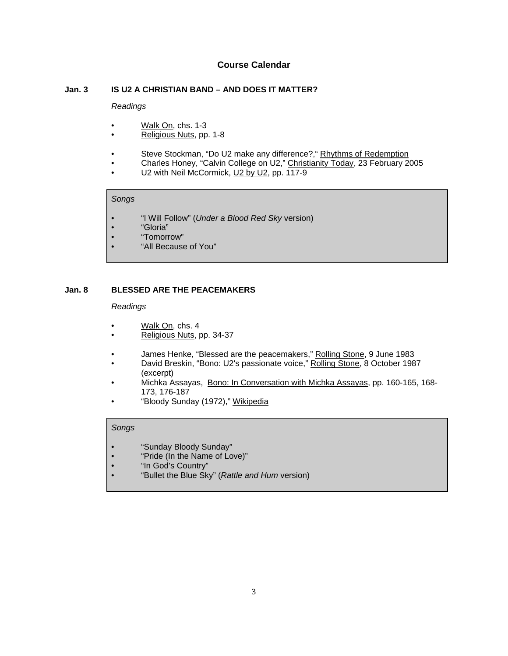# **Course Calendar**

#### **Jan. 3 IS U2 A CHRISTIAN BAND – AND DOES IT MATTER?**

#### *Readings*

- Walk On, chs. 1-3
- Religious Nuts, pp. 1-8
- Steve Stockman, "Do U2 make any difference?," Rhythms of Redemption
- Charles Honey, "Calvin College on U2," Christianity Today, 23 February 2005
- U2 with Neil McCormick, U2 by U2, pp. 117-9

#### *Songs*

- "I Will Follow" (*Under a Blood Red Sky* version)
- "Gloria"
- "Tomorrow"
- "All Because of You"

# **Jan. 8 BLESSED ARE THE PEACEMAKERS**

#### *Readings*

- Walk On, chs. 4
- Religious Nuts, pp. 34-37
- James Henke, "Blessed are the peacemakers," Rolling Stone, 9 June 1983
- David Breskin, "Bono: U2's passionate voice," Rolling Stone, 8 October 1987 (excerpt)
- Michka Assayas, Bono: In Conversation with Michka Assayas, pp. 160-165, 168- 173, 176-187
- "Bloody Sunday (1972)," Wikipedia

- "Sunday Bloody Sunday"
- "Pride (In the Name of Love)"
- "In God's Country"
- "Bullet the Blue Sky" (*Rattle and Hum* version)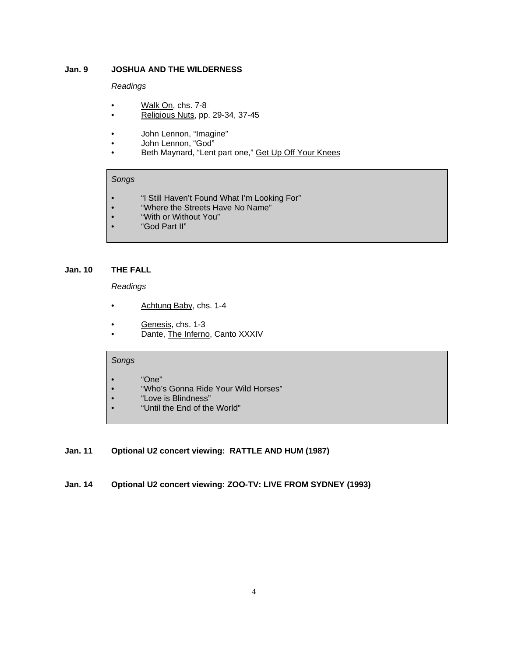# **Jan. 9 JOSHUA AND THE WILDERNESS**

### *Readings*

- Walk On, chs. 7-8
- Religious Nuts, pp. 29-34, 37-45
- John Lennon, "Imagine"
- John Lennon, "God"
- Beth Maynard, "Lent part one," Get Up Off Your Knees

# *Songs*

- "I Still Haven't Found What I'm Looking For"
- "Where the Streets Have No Name"
- "With or Without You"
- "God Part II"

### **Jan. 10 THE FALL**

*Readings*

- Achtung Baby, chs. 1-4
- Genesis, chs. 1-3
- Dante, The Inferno, Canto XXXIV

# *Songs*

- "One"
- "Who's Gonna Ride Your Wild Horses"
- "Love is Blindness"
- "Until the End of the World"

# **Jan. 11 Optional U2 concert viewing: RATTLE AND HUM (1987)**

**Jan. 14 Optional U2 concert viewing: ZOO-TV: LIVE FROM SYDNEY (1993)**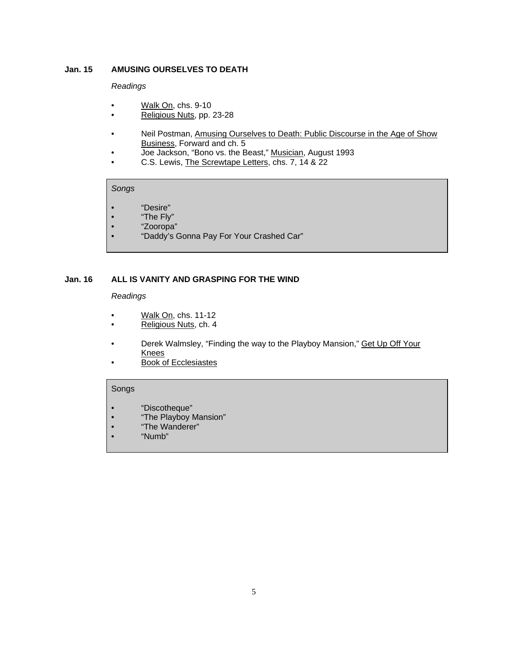### **Jan. 15 AMUSING OURSELVES TO DEATH**

#### *Readings*

- Walk On, chs. 9-10
- Religious Nuts, pp. 23-28
- Neil Postman, Amusing Ourselves to Death: Public Discourse in the Age of Show Business, Forward and ch. 5
- Joe Jackson, "Bono vs. the Beast," Musician, August 1993
- C.S. Lewis, The Screwtape Letters, chs. 7, 14 & 22

#### *Songs*

- "Desire"
- "The Fly"
- "Zooropa"
- "Daddy's Gonna Pay For Your Crashed Car"

## **Jan. 16 ALL IS VANITY AND GRASPING FOR THE WIND**

### *Readings*

- Walk On, chs. 11-12
- Religious Nuts, ch. 4
- Derek Walmsley, "Finding the way to the Playboy Mansion," Get Up Off Your Knees
- Book of Ecclesiastes

- "Discotheque"
- "The Playboy Mansion"
- "The Wanderer"
- "Numb"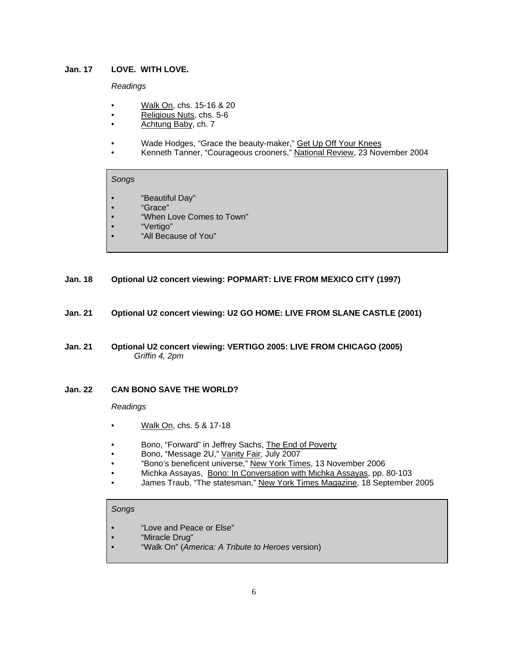### **Jan. 17 LOVE. WITH LOVE.**

### *Readings*

- Walk On, chs. 15-16 & 20
- Religious Nuts, chs. 5-6
- Achtung Baby, ch. 7
- Wade Hodges, "Grace the beauty-maker," Get Up Off Your Knees
- Kenneth Tanner, "Courageous crooners," National Review, 23 November 2004

#### *Songs*

- "Beautiful Day"
- "Grace"
- "When Love Comes to Town"
- "Vertigo"
- "All Because of You"
- **Jan. 18 Optional U2 concert viewing: POPMART: LIVE FROM MEXICO CITY (1997)**
- **Jan. 21 Optional U2 concert viewing: U2 GO HOME: LIVE FROM SLANE CASTLE (2001)**
- **Jan. 21 Optional U2 concert viewing: VERTIGO 2005: LIVE FROM CHICAGO (2005)**  *Griffin 4, 2pm*

# **Jan. 22 CAN BONO SAVE THE WORLD?**

#### *Readings*

- Walk On, chs. 5 & 17-18
- Bono, "Forward" in Jeffrey Sachs, The End of Poverty
- Bono, "Message 2U," Vanity Fair, July 2007
- "Bono's beneficent universe," New York Times, 13 November 2006
- Michka Assayas, Bono: In Conversation with Michka Assayas, pp. 80-103
- James Traub, "The statesman," New York Times Magazine, 18 September 2005

- "Love and Peace or Else"
- "Miracle Drug"
- "Walk On" (*America: A Tribute to Heroes* version)